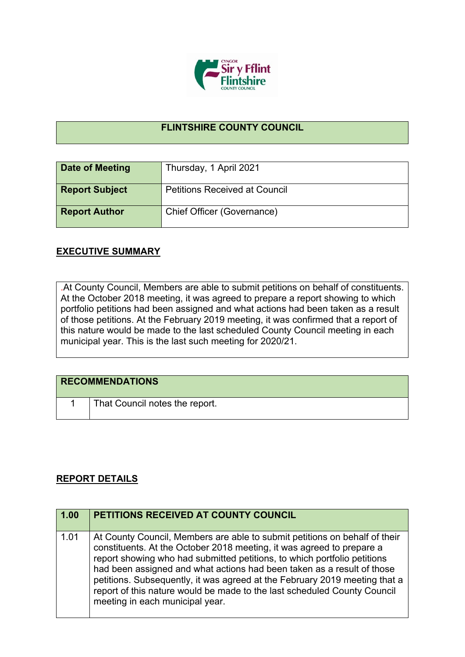

## **FLINTSHIRE COUNTY COUNCIL**

| <b>Date of Meeting</b> | Thursday, 1 April 2021               |
|------------------------|--------------------------------------|
| <b>Report Subject</b>  | <b>Petitions Received at Council</b> |
| <b>Report Author</b>   | Chief Officer (Governance)           |

## **EXECUTIVE SUMMARY**

.At County Council, Members are able to submit petitions on behalf of constituents. At the October 2018 meeting, it was agreed to prepare a report showing to which portfolio petitions had been assigned and what actions had been taken as a result of those petitions. At the February 2019 meeting, it was confirmed that a report of this nature would be made to the last scheduled County Council meeting in each municipal year. This is the last such meeting for 2020/21.

| <b>RECOMMENDATIONS</b> |                                |
|------------------------|--------------------------------|
|                        | That Council notes the report. |

## **REPORT DETAILS**

| 1.00 | PETITIONS RECEIVED AT COUNTY COUNCIL                                                                                                                                                                                                                                                                                                                                                                                                                                                                   |
|------|--------------------------------------------------------------------------------------------------------------------------------------------------------------------------------------------------------------------------------------------------------------------------------------------------------------------------------------------------------------------------------------------------------------------------------------------------------------------------------------------------------|
| 1.01 | At County Council, Members are able to submit petitions on behalf of their<br>constituents. At the October 2018 meeting, it was agreed to prepare a<br>report showing who had submitted petitions, to which portfolio petitions<br>had been assigned and what actions had been taken as a result of those<br>petitions. Subsequently, it was agreed at the February 2019 meeting that a<br>report of this nature would be made to the last scheduled County Council<br>meeting in each municipal year. |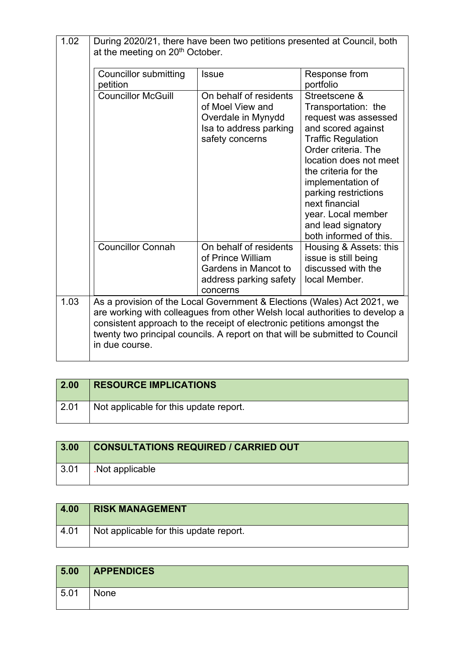| 1.02 | During 2020/21, there have been two petitions presented at Council, both<br>at the meeting on 20 <sup>th</sup> October. |                                                                                                                                                                                                                                   |                                                                                                                                                                                                                                                                                                                               |
|------|-------------------------------------------------------------------------------------------------------------------------|-----------------------------------------------------------------------------------------------------------------------------------------------------------------------------------------------------------------------------------|-------------------------------------------------------------------------------------------------------------------------------------------------------------------------------------------------------------------------------------------------------------------------------------------------------------------------------|
|      | <b>Councillor submitting</b><br>petition                                                                                | <b>Issue</b>                                                                                                                                                                                                                      | Response from<br>portfolio                                                                                                                                                                                                                                                                                                    |
|      | <b>Councillor McGuill</b>                                                                                               | On behalf of residents<br>of Moel View and<br>Overdale in Mynydd<br>Isa to address parking<br>safety concerns                                                                                                                     | Streetscene &<br>Transportation: the<br>request was assessed<br>and scored against<br><b>Traffic Regulation</b><br>Order criteria. The<br>location does not meet<br>the criteria for the<br>implementation of<br>parking restrictions<br>next financial<br>year. Local member<br>and lead signatory<br>both informed of this. |
|      | <b>Councillor Connah</b>                                                                                                | On behalf of residents<br>of Prince William<br>Gardens in Mancot to<br>address parking safety<br>concerns                                                                                                                         | Housing & Assets: this<br>issue is still being<br>discussed with the<br>local Member.                                                                                                                                                                                                                                         |
| 1.03 | in due course.                                                                                                          | As a provision of the Local Government & Elections (Wales) Act 2021, we<br>consistent approach to the receipt of electronic petitions amongst the<br>twenty two principal councils. A report on that will be submitted to Council | are working with colleagues from other Welsh local authorities to develop a                                                                                                                                                                                                                                                   |

| 2.00 | <b>RESOURCE IMPLICATIONS</b>           |
|------|----------------------------------------|
| 2.01 | Not applicable for this update report. |

| 3.00 | <b>CONSULTATIONS REQUIRED / CARRIED OUT</b> |
|------|---------------------------------------------|
| 3.01 | Not applicable                              |

| 4.00 | <b>RISK MANAGEMENT</b>                 |
|------|----------------------------------------|
| 4.01 | Not applicable for this update report. |

| 5.00 | <b>APPENDICES</b> |
|------|-------------------|
| 5.01 | None              |